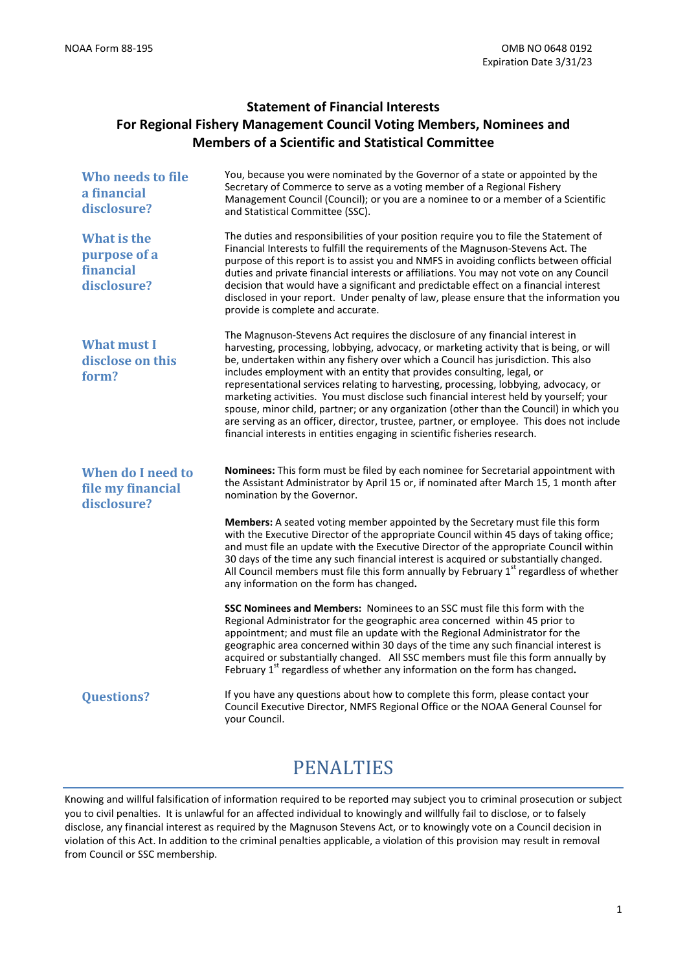### **Statement of Financial Interests For Regional Fishery Management Council Voting Members, Nominees and Members of a Scientific and Statistical Committee**

| Who needs to file<br>a financial<br>disclosure?                | You, because you were nominated by the Governor of a state or appointed by the<br>Secretary of Commerce to serve as a voting member of a Regional Fishery<br>Management Council (Council); or you are a nominee to or a member of a Scientific<br>and Statistical Committee (SSC).                                                                                                                                                                                                                                                                                                                                                                                                                                                                                                                |
|----------------------------------------------------------------|---------------------------------------------------------------------------------------------------------------------------------------------------------------------------------------------------------------------------------------------------------------------------------------------------------------------------------------------------------------------------------------------------------------------------------------------------------------------------------------------------------------------------------------------------------------------------------------------------------------------------------------------------------------------------------------------------------------------------------------------------------------------------------------------------|
| <b>What is the</b><br>purpose of a<br>financial<br>disclosure? | The duties and responsibilities of your position require you to file the Statement of<br>Financial Interests to fulfill the requirements of the Magnuson-Stevens Act. The<br>purpose of this report is to assist you and NMFS in avoiding conflicts between official<br>duties and private financial interests or affiliations. You may not vote on any Council<br>decision that would have a significant and predictable effect on a financial interest<br>disclosed in your report. Under penalty of law, please ensure that the information you<br>provide is complete and accurate.                                                                                                                                                                                                           |
| <b>What must I</b><br>disclose on this<br>form?                | The Magnuson-Stevens Act requires the disclosure of any financial interest in<br>harvesting, processing, lobbying, advocacy, or marketing activity that is being, or will<br>be, undertaken within any fishery over which a Council has jurisdiction. This also<br>includes employment with an entity that provides consulting, legal, or<br>representational services relating to harvesting, processing, lobbying, advocacy, or<br>marketing activities. You must disclose such financial interest held by yourself; your<br>spouse, minor child, partner; or any organization (other than the Council) in which you<br>are serving as an officer, director, trustee, partner, or employee. This does not include<br>financial interests in entities engaging in scientific fisheries research. |
| <b>When do I need to</b><br>file my financial<br>disclosure?   | Nominees: This form must be filed by each nominee for Secretarial appointment with<br>the Assistant Administrator by April 15 or, if nominated after March 15, 1 month after<br>nomination by the Governor.                                                                                                                                                                                                                                                                                                                                                                                                                                                                                                                                                                                       |
|                                                                | Members: A seated voting member appointed by the Secretary must file this form<br>with the Executive Director of the appropriate Council within 45 days of taking office;<br>and must file an update with the Executive Director of the appropriate Council within<br>30 days of the time any such financial interest is acquired or substantially changed.<br>All Council members must file this form annually by February 1 <sup>st</sup> regardless of whether<br>any information on the form has changed.                                                                                                                                                                                                                                                                                     |
|                                                                | SSC Nominees and Members: Nominees to an SSC must file this form with the<br>Regional Administrator for the geographic area concerned within 45 prior to<br>appointment; and must file an update with the Regional Administrator for the<br>geographic area concerned within 30 days of the time any such financial interest is<br>acquired or substantially changed. All SSC members must file this form annually by<br>February $1st$ regardless of whether any information on the form has changed.                                                                                                                                                                                                                                                                                            |
| <b>Questions?</b>                                              | If you have any questions about how to complete this form, please contact your<br>Council Executive Director, NMFS Regional Office or the NOAA General Counsel for<br>your Council.                                                                                                                                                                                                                                                                                                                                                                                                                                                                                                                                                                                                               |

# PENALTIES

Knowing and willful falsification of information required to be reported may subject you to criminal prosecution or subject you to civil penalties. It is unlawful for an affected individual to knowingly and willfully fail to disclose, or to falsely disclose, any financial interest as required by the Magnuson Stevens Act, or to knowingly vote on a Council decision in violation of this Act. In addition to the criminal penalties applicable, a violation of this provision may result in removal from Council or SSC membership.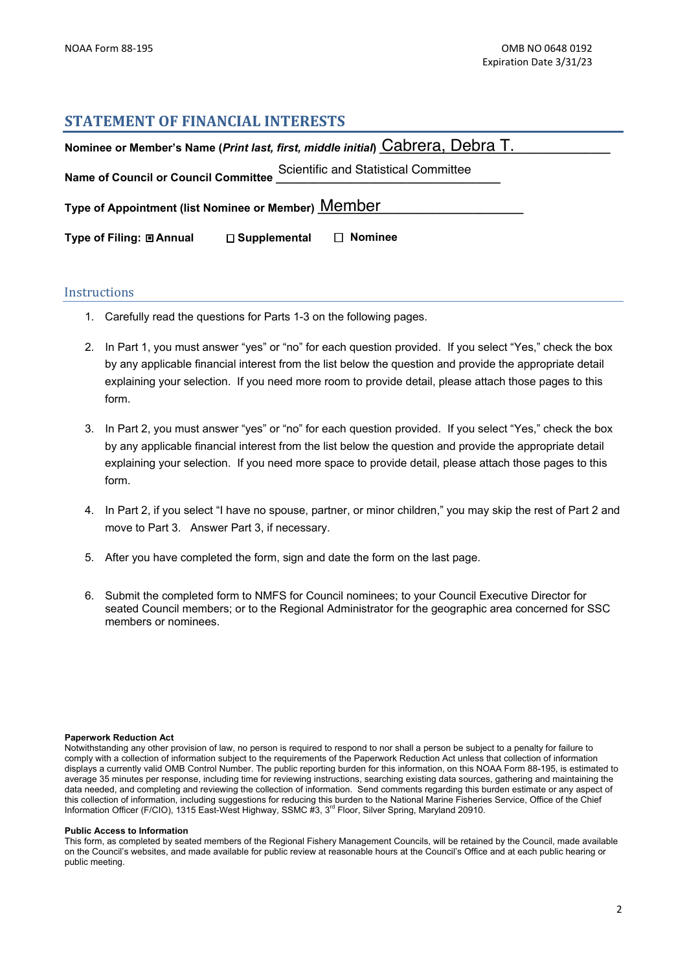### **STATEMENT OF FINANCIAL INTERESTS**

| Nominee or Member's Name (Print last, first, middle initial) Cabrera, Debra T. |                                       |  |  |  |
|--------------------------------------------------------------------------------|---------------------------------------|--|--|--|
| <b>Name of Council or Council Committee</b>                                    | Scientific and Statistical Committee  |  |  |  |
| Type of Appointment (list Nominee or Member) Member                            |                                       |  |  |  |
| Type of Filing: <b>□ Annual</b>                                                | $\Box$ Nominee<br>$\Box$ Supplemental |  |  |  |

### **Instructions**

- 1. Carefully read the questions for Parts 1-3 on the following pages.
- 2. In Part 1, you must answer "yes" or "no" for each question provided. If you select "Yes," check the box by any applicable financial interest from the list below the question and provide the appropriate detail explaining your selection. If you need more room to provide detail, please attach those pages to this form.
- 3. In Part 2, you must answer "yes" or "no" for each question provided. If you select "Yes," check the box by any applicable financial interest from the list below the question and provide the appropriate detail explaining your selection. If you need more space to provide detail, please attach those pages to this form.
- 4. In Part 2, if you select "I have no spouse, partner, or minor children," you may skip the rest of Part 2 and move to Part 3. Answer Part 3, if necessary.
- 5. After you have completed the form, sign and date the form on the last page.
- 6. Submit the completed form to NMFS for Council nominees; to your Council Executive Director for seated Council members; or to the Regional Administrator for the geographic area concerned for SSC members or nominees.

#### **Paperwork Reduction Act**

Notwithstanding any other provision of law, no person is required to respond to nor shall a person be subject to a penalty for failure to comply with a collection of information subject to the requirements of the Paperwork Reduction Act unless that collection of information displays a currently valid OMB Control Number. The public reporting burden for this information, on this NOAA Form 88-195, is estimated to average 35 minutes per response, including time for reviewing instructions, searching existing data sources, gathering and maintaining the data needed, and completing and reviewing the collection of information. Send comments regarding this burden estimate or any aspect of this collection of information, including suggestions for reducing this burden to the National Marine Fisheries Service, Office of the Chief Information Officer (F/CIO), 1315 East-West Highway, SSMC #3, 3<sup>rd</sup> Floor, Silver Spring, Maryland 20910.

#### **Public Access to Information**

This form, as completed by seated members of the Regional Fishery Management Councils, will be retained by the Council, made available on the Council's websites, and made available for public review at reasonable hours at the Council's Office and at each public hearing or public meeting.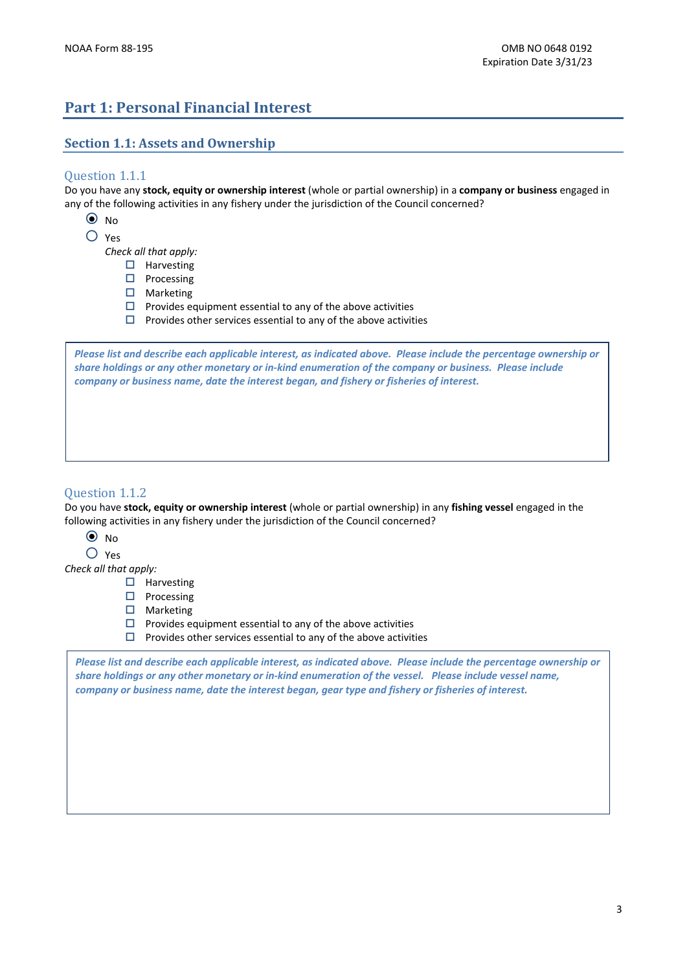# **Part 1: Personal Financial Interest**

### **Section 1.1: Assets and Ownership**

### Question 1.1.1

Do you have any **stock, equity or ownership interest** (whole or partial ownership) in a **company or business** engaged in any of the following activities in any fishery under the jurisdiction of the Council concerned?

- $\odot$  No
- { Yes

*Check all that apply:*

- $\Box$  Harvesting
- $\Box$  Processing
- $\square$  Marketing
- $\square$  Provides equipment essential to any of the above activities
- $\square$  Provides other services essential to any of the above activities

Please list and describe each applicable interest, as indicated above. Please include the percentage ownership or share holdings or any other monetary or in-kind enumeration of the company or business. Please include *company or business name, date the interest began, and fishery or fisheries of interest.*

### Question 1.1.2

Do you have **stock, equity or ownership interest** (whole or partial ownership) in any **fishing vessel** engaged in the following activities in any fishery under the jurisdiction of the Council concerned?

- $\odot$  No
- { Yes

*Check all that apply:*

- $\Box$  Harvesting
- $\Box$  Processing
- $\square$  Marketing

 $\square$  Provides equipment essential to any of the above activities

 $\square$  Provides other services essential to any of the above activities

Please list and describe each applicable interest, as indicated above. Please include the percentage ownership or share holdings or any other monetary or in-kind enumeration of the vessel. Please include vessel name, *company or business name, date the interest began, gear type and fishery or fisheries of interest.*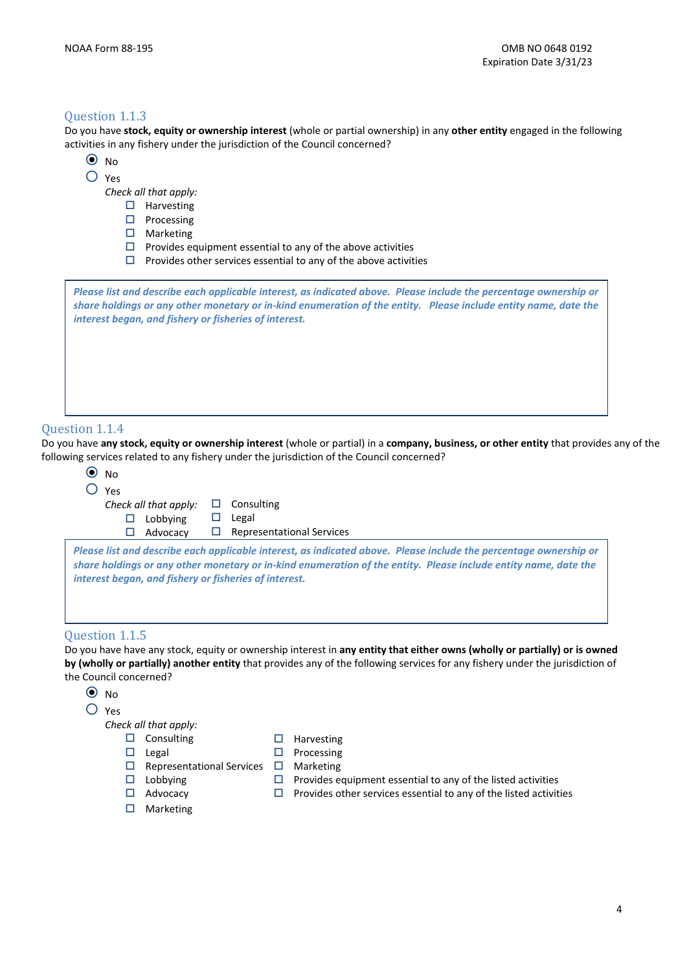### Question 1.1.3

Do you have **stock, equity or ownership interest** (whole or partial ownership) in any **other entity** engaged in the following activities in any fishery under the jurisdiction of the Council concerned?

- $\odot$  No
- { Yes

*Check all that apply:*

- $\square$  Harvesting
- $\square$  Processing
- $\Box$  Marketing
- $\square$  Provides equipment essential to any of the above activities
- $\square$  Provides other services essential to any of the above activities

Please list and describe each applicable interest, as indicated above. Please include the percentage ownership or share holdings or any other monetary or in-kind enumeration of the entity. Please include entity name, date the *interest began, and fishery or fisheries of interest.*

#### Question 1.1.4

Do you have any stock, equity or ownership interest (whole or partial) in a company, business, or other entity that provides any of the following services related to any fishery under the jurisdiction of the Council concerned?

| $O$ Yes | Check all that apply: | ப | Consulting                                                                                                                                                                                                                           |
|---------|-----------------------|---|--------------------------------------------------------------------------------------------------------------------------------------------------------------------------------------------------------------------------------------|
| □       | Lobbying              | ப | Legal                                                                                                                                                                                                                                |
| ப       | Advocacy              | ப | <b>Representational Services</b>                                                                                                                                                                                                     |
|         |                       |   | Please list and describe each applicable interest, as indicated above. Please include the percentage ownership or<br>share holdings or any other monetary or in-kind enumeration of the entity. Please include entity name, date the |
|         |                       |   | interest began, and fishery or fisheries of interest.                                                                                                                                                                                |

**by (wholly or partially) another entity** that provides any of the following services for any fishery under the jurisdiction of the Council concerned?

 $\odot$  No

{ Yes

*Check all that apply:*

 $\square$  Consulting

 $\square$  Legal

 $\Box$  Harvesting  $\square$  Processing

Marketing

- $\Box$  Representational Services  $\Box$
- $\Box$  Lobbying
- Advocacy
- $\Box$  Marketing
- $\square$  Provides equipment essential to any of the listed activities  $\square$  Provides other services essential to any of the listed activities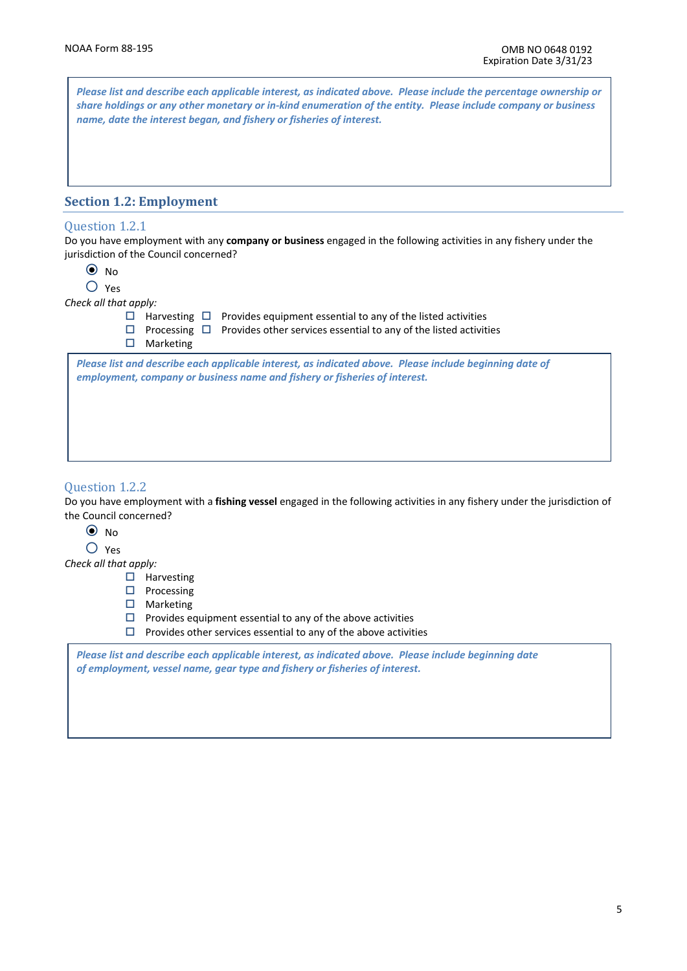Please list and describe each applicable interest, as indicated above. Please include the percentage ownership or share holdings or any other monetary or in-kind enumeration of the entity. Please include company or business *name, date the interest began, and fishery or fisheries of interest.*

### **Section 1.2: Employment**

#### Question 1.2.1

Do you have employment with any **company or business** engaged in the following activities in any fishery under the jurisdiction of the Council concerned?

| × |   |
|---|---|
|   | × |
|   |   |

 ${\bigcap}$  Yes

*Check all that apply:*

 $\Box$  Harvesting  $\Box$  Provides equipment essential to any of the listed activities

- $\Box$  Processing  $\Box$  Provides other services essential to any of the listed activities
- $\square$  Marketing

-<br>Please list and describe each applicable interest, as indicated above. Please include beginning date of rieuse inst und describe each applicable interest, as indicated above. Freuse i<br>employment, company or business name and fishery or fisheries of interest.

#### Question 1.2.2

Do you have employment with a **fishing vessel** engaged in the following activities in any fishery under the jurisdiction of the Council concerned?

- $\odot$  No
- { Yes

*Check all that apply:*

- $\Box$  Harvesting
- $\square$  Processing
- □ Marketing

 $\square$  Provides equipment essential to any of the above activities

 $\square$  Provides other services essential to any of the above activities

*Please list and describe each applicable interest, as indicated above. Please include beginning date of employment, vessel name͕ gear type and fishery or fisheries of interest.*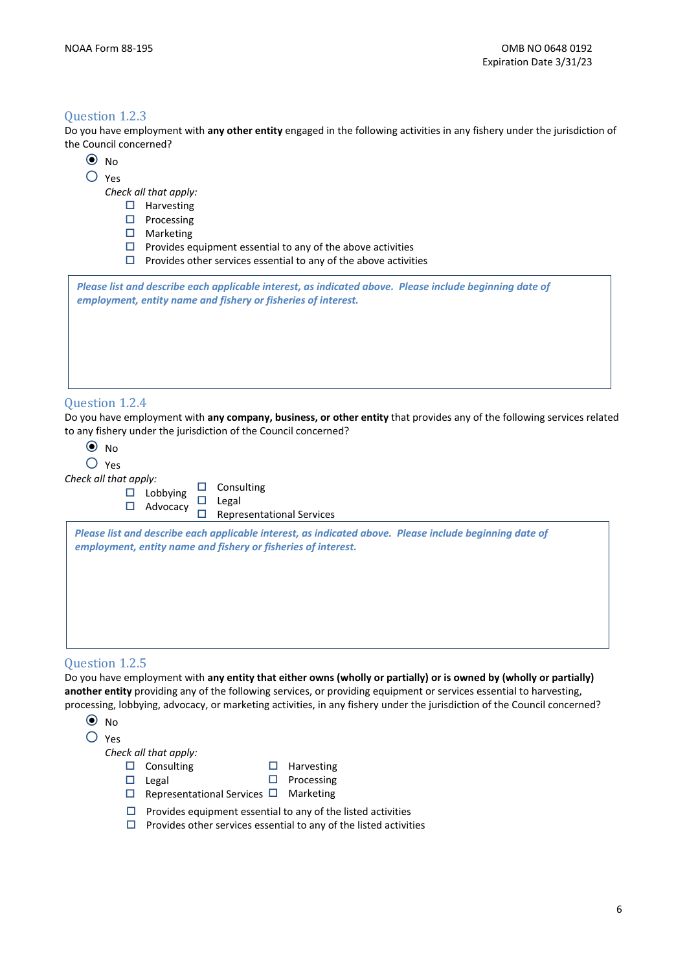#### Question 1.2.3

Do you have employment with **any other entity** engaged in the following activities in any fishery under the jurisdiction of the Council concerned?

- $\odot$  No
- { Yes

*Check all that apply:*

- $\square$  Harvesting
- $\square$  Processing
- $\Box$  Marketing
- $\square$  Provides equipment essential to any of the above activities
- $\square$  Provides other services essential to any of the above activities

*Please list and describe each applicable interest, as indicated above. Please include beginning date of employment, entity name and fishery or fisheries of interest.* 

#### Question 1.2.4

Do you have employment with **any company, business, or other entity** that provides any of the following services related to any fishery under the jurisdiction of the Council concerned?

 $\odot$  No

| ÷ |
|---|
|   |

### *Check all that apply:*

| . uppiy:        |                   |
|-----------------|-------------------|
| $\Box$ Lobbying | $\Box$ Consulting |
|                 | $\Box$ Legal      |
| $\Box$ Advocacy |                   |
|                 |                   |

 $\square$  Representational Services

| Please list and describe each applicable interest, as indicated above. Please include beginning date of<br>employment, entity name and fishery or fisheries of interest. |  |  |  |
|--------------------------------------------------------------------------------------------------------------------------------------------------------------------------|--|--|--|
|                                                                                                                                                                          |  |  |  |
|                                                                                                                                                                          |  |  |  |
|                                                                                                                                                                          |  |  |  |

#### Question 1.2.5

Do you have employment with **any entity that either owns (wholly or partially) or is owned by (wholly or partially) another entity** providing any of the following services, or providing equipment or services essential to harvesting, processing, lobbying, advocacy, or marketing activities, in any fishery under the jurisdiction of the Council concerned?

| N <sub>0</sub> |                                            |                                                                   |  |
|----------------|--------------------------------------------|-------------------------------------------------------------------|--|
| Yes            |                                            |                                                                   |  |
|                | Check all that apply:                      |                                                                   |  |
|                | Consulting                                 | <b>Harvesting</b>                                                 |  |
|                | Legal                                      | Processing                                                        |  |
|                | Representational Services $\Box$ Marketing |                                                                   |  |
|                |                                            | Provides equipment essential to any of the listed activities      |  |
|                |                                            | Provides other services essential to any of the listed activities |  |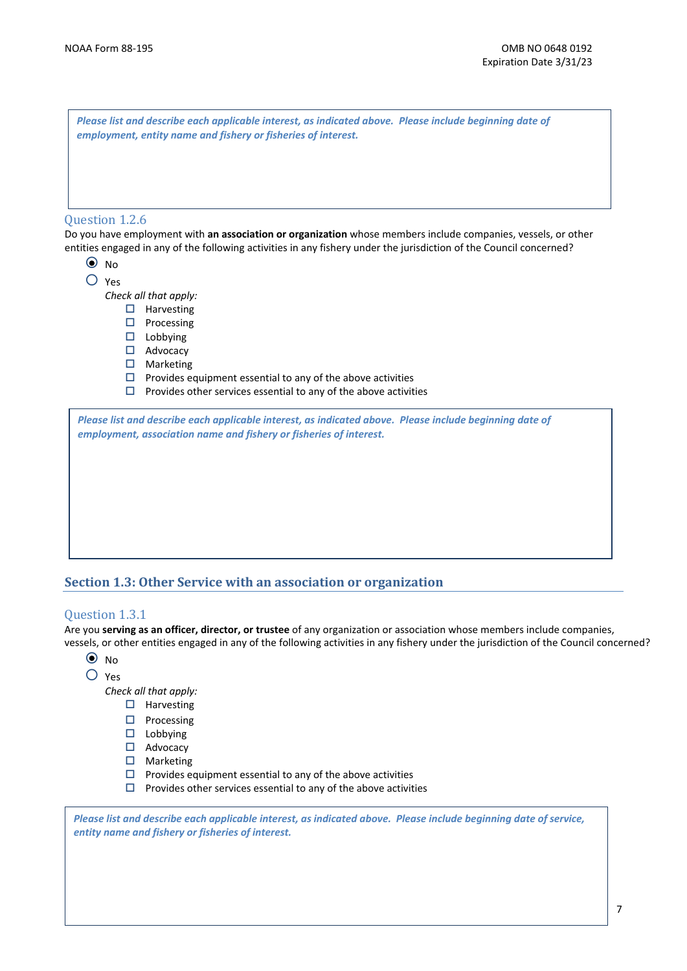|                | Please list and describe each applicable interest, as indicated above. Please include beginning date of<br>employment, entity name and fishery or fisheries of interest.                                                             |
|----------------|--------------------------------------------------------------------------------------------------------------------------------------------------------------------------------------------------------------------------------------|
| Question 1.2.6 | Do you have employment with an association or organization whose members include companies, vessels, or other<br>entities engaged in any of the following activities in any fishery under the jurisdiction of the Council concerned? |
| $\odot$ No     |                                                                                                                                                                                                                                      |
| Yes            |                                                                                                                                                                                                                                      |
|                | Check all that apply:                                                                                                                                                                                                                |
| □              | Harvesting                                                                                                                                                                                                                           |
| □              | Processing                                                                                                                                                                                                                           |
|                | Lobbying                                                                                                                                                                                                                             |
| $\Box$         | Advocacy                                                                                                                                                                                                                             |
|                | Marketing                                                                                                                                                                                                                            |
|                | Provides equipment essential to any of the above activities                                                                                                                                                                          |
| □              | Provides other services essential to any of the above activities                                                                                                                                                                     |
|                | Please list and describe each applicable interest, as indicated above. Please include beginning date of<br>employment, association name and fishery or fisheries of interest.                                                        |

### **Section 1.3: Other Service with an association or organization**

### Question 1.3.1

Are you **serving as an officer, director, or trustee** of any organization or association whose members include companies͕ vessels, or other entities engaged in any of the following activities in any fishery under the jurisdiction of the Council concerned?

- { No
- { Yes

*Check all that apply:*

- $\square$  Harvesting
- $\square$  Processing
- $\square$  Lobbying
- □ Advocacy
- $\square$  Marketing
- $\square$  Provides equipment essential to any of the above activities
- $\square$  Provides other services essential to any of the above activities

Please list and describe each applicable interest, as indicated above. Please include beginning date of service, *entity name and fishery or fisheries of interest.*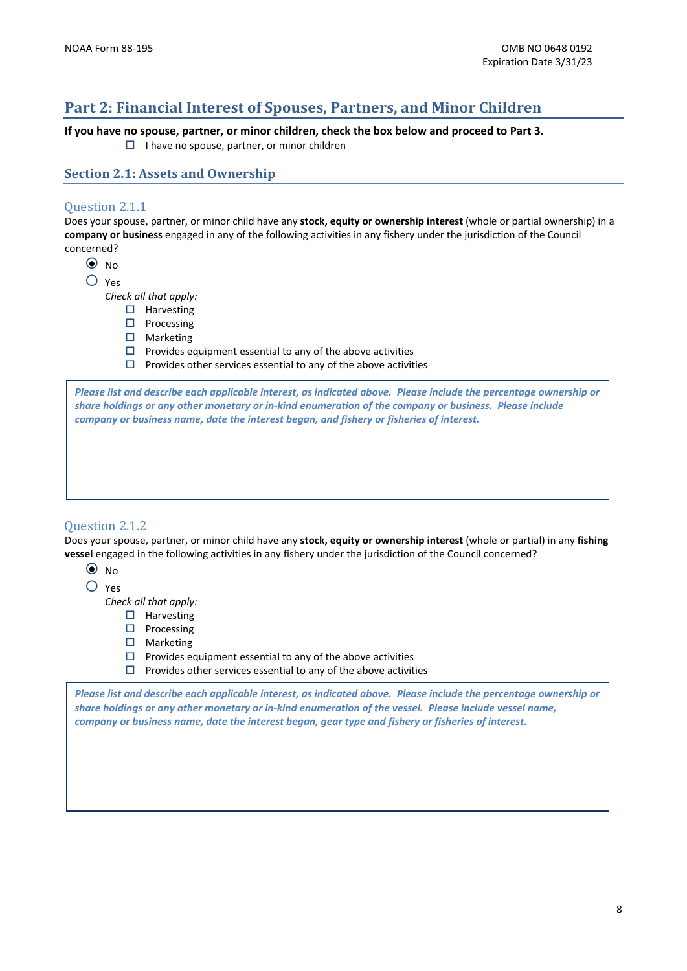## **Part 2: Financial Interest of Spouses, Partners, and Minor Children**

If you have no spouse, partner, or minor children, check the box below and proceed to Part 3.

 $\Box$  I have no spouse, partner, or minor children

**Section 2.1: Assets and Ownership**

### Question 2.1.1

Does your spouse, partner, or minor child have any **stock, equity or ownership interest** (whole or partial ownership) in a **company or business** engaged in any of the following activities in any fishery under the jurisdiction of the Council concerned?

 $\odot$  No

{ Yes

*Check all that apply:*

- $\Box$  Harvesting
- $\Box$  Processing
- $\square$  Marketing
- $\square$  Provides equipment essential to any of the above activities
- $\square$  Provides other services essential to any of the above activities

Please list and describe each applicable interest, as indicated above. Please include the percentage ownership or share holdings or any other monetary or in-kind enumeration of the company or business. Please include *company or business name, date the interest began, and fishery or fisheries of interest.*

### Question 2.1.2

Does your spouse, partner, or minor child have any **stock, equity or ownership interest** (whole or partial) in any fishing **vessel** engaged in the following activities in any fishery under the jurisdiction of the Council concerned?

- $\odot$  No
- { Yes

*Check all that apply:*

- $\Box$  Harvesting
- $\square$  Processing
- $\square$  Marketing
- $\square$  Provides equipment essential to any of the above activities
- $\Box$  Provides other services essential to any of the above activities

Please list and describe each applicable interest, as indicated above. Please include the percentage ownership or share holdings or any other monetary or in-kind enumeration of the vessel. Please include vessel name, *company or business name, date the interest began, gear type and fishery or fisheries of interest.*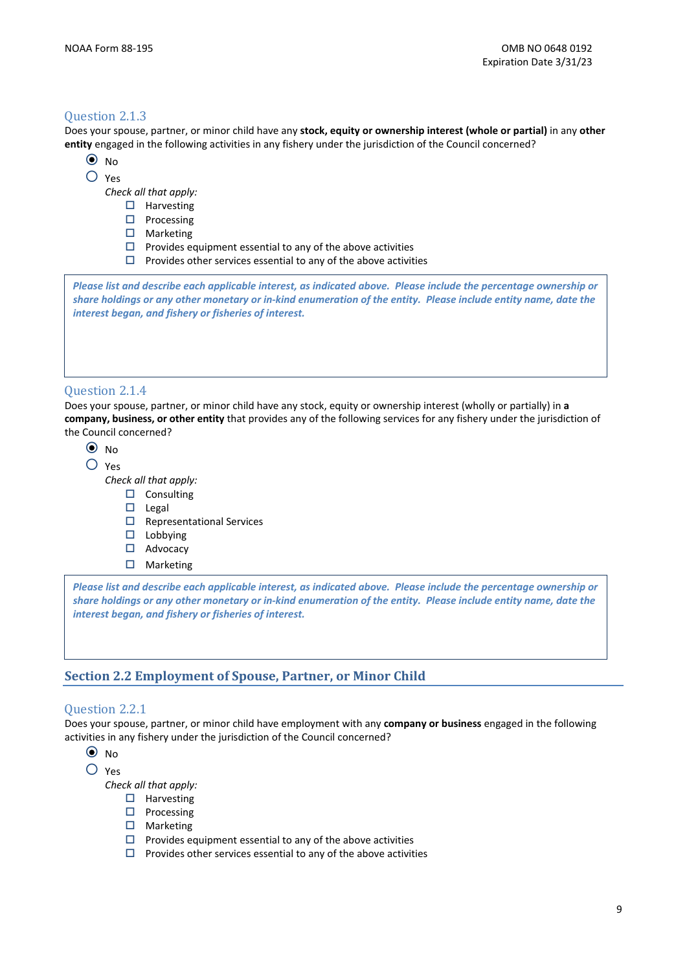### Question 2.1.3

Does your spouse, partner, or minor child have any stock, equity or ownership interest (whole or partial) in any other entity engaged in the following activities in any fishery under the jurisdiction of the Council concerned?

- $\odot$  No
- $O$  Yes

Check all that apply:

- $\Box$  Harvesting
- $\Box$  Processing
- $\Box$  Marketing
- $\Box$  Provides equipment essential to any of the above activities
- $\Box$  Provides other services essential to any of the above activities

Please list and describe each applicable interest, as indicated above. Please include the percentage ownership or share holdings or any other monetary or in-kind enumeration of the entity. Please include entity name, date the interest began, and fishery or fisheries of interest.

### **Ouestion 2.1.4**

Does your spouse, partner, or minor child have any stock, equity or ownership interest (wholly or partially) in a company, business, or other entity that provides any of the following services for any fishery under the jurisdiction of the Council concerned?

 $\odot$  No

 $O$  Yes

Check all that apply:

- $\square$  Consulting
- $\Box$  Legal
- $\Box$  Representational Services
- $\Box$  Lobbying
- $\Box$  Advocacy
- $\Box$  Marketing

Please list and describe each applicable interest, as indicated above. Please include the percentage ownership or share holdings or any other monetary or in-kind enumeration of the entity. Please include entity name, date the interest began, and fishery or fisheries of interest.

### **Section 2.2 Employment of Spouse, Partner, or Minor Child**

### Question 2.2.1

Does your spouse, partner, or minor child have employment with any company or business engaged in the following activities in any fishery under the jurisdiction of the Council concerned?

 $\odot$  No

 $O$  Yes

Check all that apply:

- $\Box$  Harvesting
- $\Box$  Processing
- $\Box$  Marketing
- $\Box$  Provides equipment essential to any of the above activities
- $\Box$  Provides other services essential to any of the above activities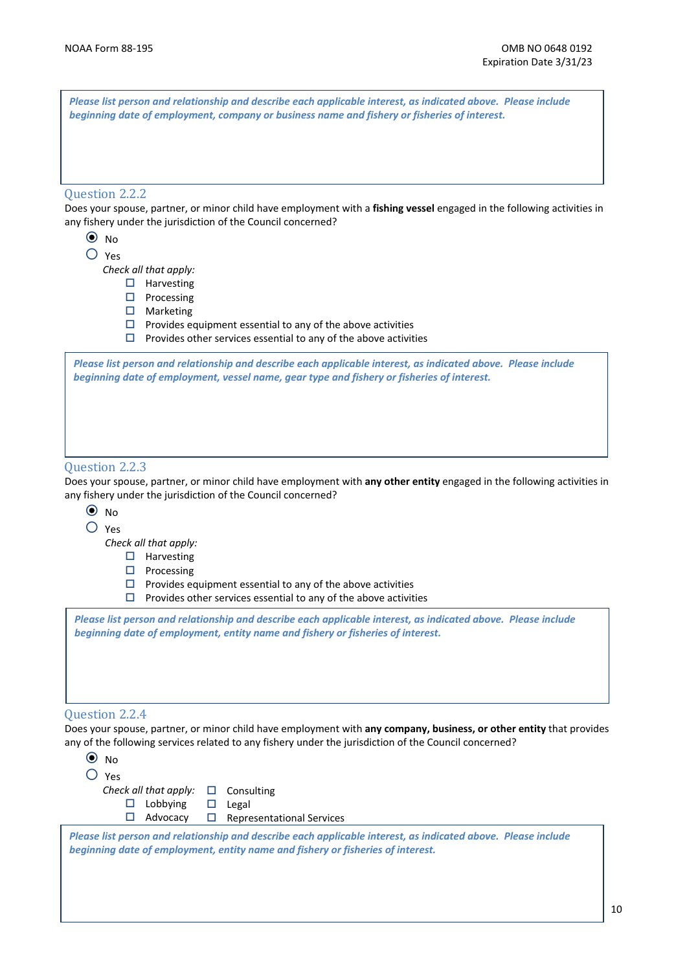| Please list person and relationship and describe each applicable interest, as indicated above. Please include<br>beginning date of employment, company or business name and fishery or fisheries of interest.<br>Question 2.2.2<br>Does your spouse, partner, or minor child have employment with a fishing vessel engaged in the following activities in<br>any fishery under the jurisdiction of the Council concerned?<br>$\odot$ No<br>$\bigcirc$ Yes<br>Check all that apply:<br>$\Box$ Harvesting<br>Processing<br>□ ∴<br>$\Box$ Marketing<br>$\Box$ Provides equipment essential to any of the above activities<br>Provides other services essential to any of the above activities<br>□.<br>Please list person and relationship and describe each applicable interest, as indicated above. Please include<br>beginning date of employment, vessel name, gear type and fishery or fisheries of interest.<br>Question 2.2.3<br>any fishery under the jurisdiction of the Council concerned?<br>$\odot$ No<br>Yes<br>Check all that apply:<br>Harvesting<br>Ц<br>Processing<br>□<br>Provides equipment essential to any of the above activities<br>ш<br>Provides other services essential to any of the above activities<br>□<br>Please list person and relationship and describe each applicable interest, as indicated above. Please include<br>beginning date of employment, entity name and fishery or fisheries of interest. |  |
|----------------------------------------------------------------------------------------------------------------------------------------------------------------------------------------------------------------------------------------------------------------------------------------------------------------------------------------------------------------------------------------------------------------------------------------------------------------------------------------------------------------------------------------------------------------------------------------------------------------------------------------------------------------------------------------------------------------------------------------------------------------------------------------------------------------------------------------------------------------------------------------------------------------------------------------------------------------------------------------------------------------------------------------------------------------------------------------------------------------------------------------------------------------------------------------------------------------------------------------------------------------------------------------------------------------------------------------------------------------------------------------------------------------------------------------|--|
|                                                                                                                                                                                                                                                                                                                                                                                                                                                                                                                                                                                                                                                                                                                                                                                                                                                                                                                                                                                                                                                                                                                                                                                                                                                                                                                                                                                                                                        |  |
|                                                                                                                                                                                                                                                                                                                                                                                                                                                                                                                                                                                                                                                                                                                                                                                                                                                                                                                                                                                                                                                                                                                                                                                                                                                                                                                                                                                                                                        |  |
|                                                                                                                                                                                                                                                                                                                                                                                                                                                                                                                                                                                                                                                                                                                                                                                                                                                                                                                                                                                                                                                                                                                                                                                                                                                                                                                                                                                                                                        |  |
|                                                                                                                                                                                                                                                                                                                                                                                                                                                                                                                                                                                                                                                                                                                                                                                                                                                                                                                                                                                                                                                                                                                                                                                                                                                                                                                                                                                                                                        |  |
|                                                                                                                                                                                                                                                                                                                                                                                                                                                                                                                                                                                                                                                                                                                                                                                                                                                                                                                                                                                                                                                                                                                                                                                                                                                                                                                                                                                                                                        |  |
|                                                                                                                                                                                                                                                                                                                                                                                                                                                                                                                                                                                                                                                                                                                                                                                                                                                                                                                                                                                                                                                                                                                                                                                                                                                                                                                                                                                                                                        |  |
|                                                                                                                                                                                                                                                                                                                                                                                                                                                                                                                                                                                                                                                                                                                                                                                                                                                                                                                                                                                                                                                                                                                                                                                                                                                                                                                                                                                                                                        |  |
|                                                                                                                                                                                                                                                                                                                                                                                                                                                                                                                                                                                                                                                                                                                                                                                                                                                                                                                                                                                                                                                                                                                                                                                                                                                                                                                                                                                                                                        |  |
|                                                                                                                                                                                                                                                                                                                                                                                                                                                                                                                                                                                                                                                                                                                                                                                                                                                                                                                                                                                                                                                                                                                                                                                                                                                                                                                                                                                                                                        |  |
|                                                                                                                                                                                                                                                                                                                                                                                                                                                                                                                                                                                                                                                                                                                                                                                                                                                                                                                                                                                                                                                                                                                                                                                                                                                                                                                                                                                                                                        |  |
|                                                                                                                                                                                                                                                                                                                                                                                                                                                                                                                                                                                                                                                                                                                                                                                                                                                                                                                                                                                                                                                                                                                                                                                                                                                                                                                                                                                                                                        |  |
| Does your spouse, partner, or minor child have employment with any other entity engaged in the following activities in                                                                                                                                                                                                                                                                                                                                                                                                                                                                                                                                                                                                                                                                                                                                                                                                                                                                                                                                                                                                                                                                                                                                                                                                                                                                                                                 |  |
|                                                                                                                                                                                                                                                                                                                                                                                                                                                                                                                                                                                                                                                                                                                                                                                                                                                                                                                                                                                                                                                                                                                                                                                                                                                                                                                                                                                                                                        |  |
|                                                                                                                                                                                                                                                                                                                                                                                                                                                                                                                                                                                                                                                                                                                                                                                                                                                                                                                                                                                                                                                                                                                                                                                                                                                                                                                                                                                                                                        |  |
|                                                                                                                                                                                                                                                                                                                                                                                                                                                                                                                                                                                                                                                                                                                                                                                                                                                                                                                                                                                                                                                                                                                                                                                                                                                                                                                                                                                                                                        |  |
|                                                                                                                                                                                                                                                                                                                                                                                                                                                                                                                                                                                                                                                                                                                                                                                                                                                                                                                                                                                                                                                                                                                                                                                                                                                                                                                                                                                                                                        |  |
|                                                                                                                                                                                                                                                                                                                                                                                                                                                                                                                                                                                                                                                                                                                                                                                                                                                                                                                                                                                                                                                                                                                                                                                                                                                                                                                                                                                                                                        |  |
|                                                                                                                                                                                                                                                                                                                                                                                                                                                                                                                                                                                                                                                                                                                                                                                                                                                                                                                                                                                                                                                                                                                                                                                                                                                                                                                                                                                                                                        |  |
|                                                                                                                                                                                                                                                                                                                                                                                                                                                                                                                                                                                                                                                                                                                                                                                                                                                                                                                                                                                                                                                                                                                                                                                                                                                                                                                                                                                                                                        |  |
|                                                                                                                                                                                                                                                                                                                                                                                                                                                                                                                                                                                                                                                                                                                                                                                                                                                                                                                                                                                                                                                                                                                                                                                                                                                                                                                                                                                                                                        |  |
|                                                                                                                                                                                                                                                                                                                                                                                                                                                                                                                                                                                                                                                                                                                                                                                                                                                                                                                                                                                                                                                                                                                                                                                                                                                                                                                                                                                                                                        |  |
| Question 2.2.4                                                                                                                                                                                                                                                                                                                                                                                                                                                                                                                                                                                                                                                                                                                                                                                                                                                                                                                                                                                                                                                                                                                                                                                                                                                                                                                                                                                                                         |  |

Does your spouse, partner, or minor child have employment with **any company, business, or other entity** that provides any of the following services related to any fishery under the jurisdiction of the Council concerned?



*Please list person and relationship and describe each applicable interest, as indicated above. Please include beginning date of employment, entity name and fishery or fisheries of interest.*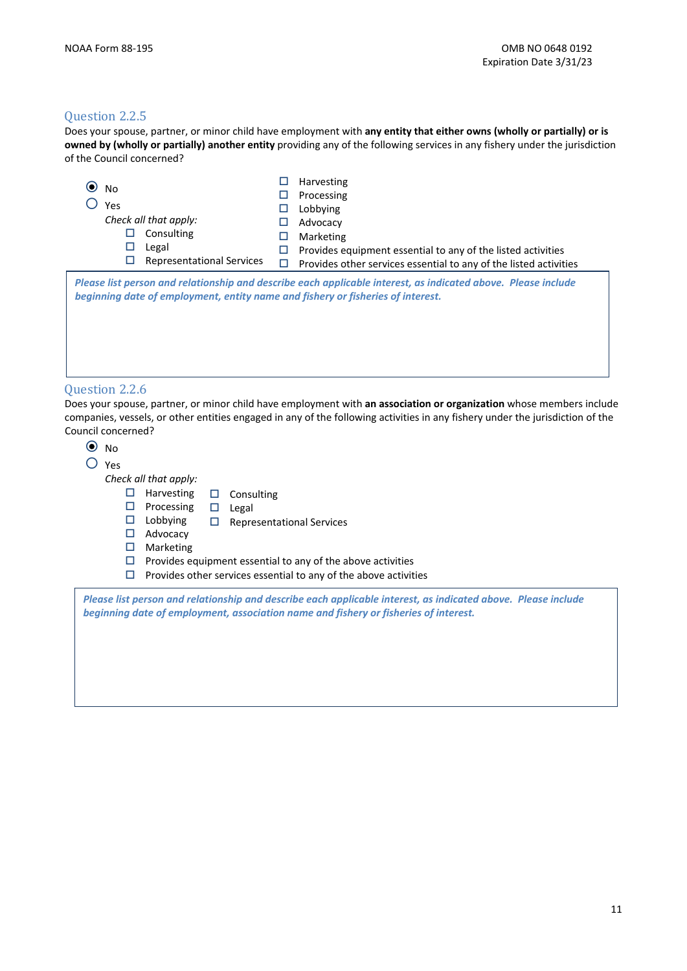### Question 2.2.5

Does your spouse, partner, or minor child have employment with **any entity that either owns (wholly or partially) or is owned by (wholly or partially) another entity** providing any of the following services in any fishery under the jurisdiction of the Council concerned?

| $\odot$ No<br>Yes<br>Check all that apply:<br>Consulting<br>П<br>Legal<br>ப<br><b>Representational Services</b><br>□ | П<br>ப<br>□<br>□ | Harvesting<br>Processing<br>Lobbying<br>Advocacy<br>Marketing<br>Provides equipment essential to any of the listed activities                                                      |
|----------------------------------------------------------------------------------------------------------------------|------------------|------------------------------------------------------------------------------------------------------------------------------------------------------------------------------------|
| beginning date of employment, entity name and fishery or fisheries of interest.                                      |                  | Provides other services essential to any of the listed activities<br>Please list person and relationship and describe each applicable interest, as indicated above. Please include |
| <b>Ouestion 2.2.6</b>                                                                                                |                  |                                                                                                                                                                                    |

Does your spouse, partner, or minor child have employment with **an association or organization** whose members include companies, vessels, or other entities engaged in any of the following activities in any fishery under the jurisdiction of the Council concerned?

| N <sub>0</sub> |                       |   |                                                                                                                                                                                                       |
|----------------|-----------------------|---|-------------------------------------------------------------------------------------------------------------------------------------------------------------------------------------------------------|
| Yes            |                       |   |                                                                                                                                                                                                       |
|                | Check all that apply: |   |                                                                                                                                                                                                       |
| □              | <b>Harvesting</b>     | ⊔ | Consulting                                                                                                                                                                                            |
| □              | Processing            | □ | Legal                                                                                                                                                                                                 |
| ப              | Lobbying              | □ | <b>Representational Services</b>                                                                                                                                                                      |
| ப              | Advocacy              |   |                                                                                                                                                                                                       |
| □              | Marketing             |   |                                                                                                                                                                                                       |
| □              |                       |   | Provides equipment essential to any of the above activities                                                                                                                                           |
| □              |                       |   | Provides other services essential to any of the above activities                                                                                                                                      |
|                |                       |   | Please list person and relationship and describe each applicable interest, as indicated above. Please include<br>beginning date of employment, association name and fishery or fisheries of interest. |